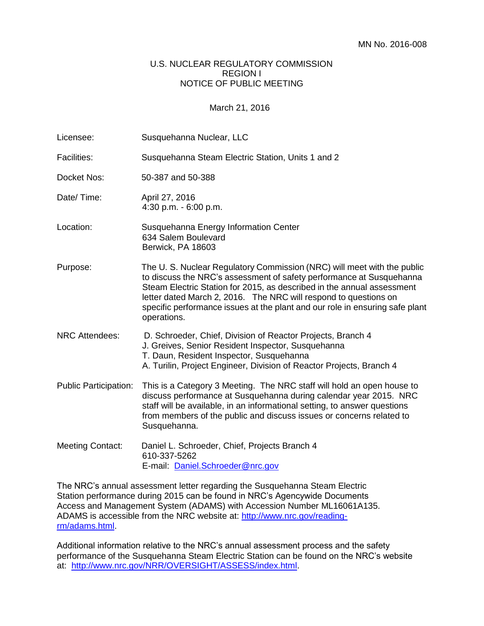## U.S. NUCLEAR REGULATORY COMMISSION REGION I NOTICE OF PUBLIC MEETING

March 21, 2016

| Licensee:                    | Susquehanna Nuclear, LLC                                                                                                                                                                                                                                                                                                                                                                     |
|------------------------------|----------------------------------------------------------------------------------------------------------------------------------------------------------------------------------------------------------------------------------------------------------------------------------------------------------------------------------------------------------------------------------------------|
| <b>Facilities:</b>           | Susquehanna Steam Electric Station, Units 1 and 2                                                                                                                                                                                                                                                                                                                                            |
| Docket Nos:                  | 50-387 and 50-388                                                                                                                                                                                                                                                                                                                                                                            |
| Date/Time:                   | April 27, 2016<br>4:30 p.m. - 6:00 p.m.                                                                                                                                                                                                                                                                                                                                                      |
| Location:                    | Susquehanna Energy Information Center<br>634 Salem Boulevard<br>Berwick, PA 18603                                                                                                                                                                                                                                                                                                            |
| Purpose:                     | The U. S. Nuclear Regulatory Commission (NRC) will meet with the public<br>to discuss the NRC's assessment of safety performance at Susquehanna<br>Steam Electric Station for 2015, as described in the annual assessment<br>letter dated March 2, 2016. The NRC will respond to questions on<br>specific performance issues at the plant and our role in ensuring safe plant<br>operations. |
| <b>NRC Attendees:</b>        | D. Schroeder, Chief, Division of Reactor Projects, Branch 4<br>J. Greives, Senior Resident Inspector, Susquehanna<br>T. Daun, Resident Inspector, Susquehanna<br>A. Turilin, Project Engineer, Division of Reactor Projects, Branch 4                                                                                                                                                        |
| <b>Public Participation:</b> | This is a Category 3 Meeting. The NRC staff will hold an open house to<br>discuss performance at Susquehanna during calendar year 2015. NRC<br>staff will be available, in an informational setting, to answer questions<br>from members of the public and discuss issues or concerns related to<br>Susquehanna.                                                                             |
| <b>Meeting Contact:</b>      | Daniel L. Schroeder, Chief, Projects Branch 4<br>610-337-5262<br>E-mail: Daniel.Schroeder@nrc.gov                                                                                                                                                                                                                                                                                            |

The NRC's annual assessment letter regarding the Susquehanna Steam Electric Station performance during 2015 can be found in NRC's Agencywide Documents Access and Management System (ADAMS) with Accession Number ML16061A135. ADAMS is accessible from the NRC website at: [http://www.nrc.gov/reading](http://www.nrc.gov/reading-rm/adams.html)[rm/adams.html.](http://www.nrc.gov/reading-rm/adams.html)

Additional information relative to the NRC's annual assessment process and the safety performance of the Susquehanna Steam Electric Station can be found on the NRC's website at: [http://www.nrc.gov/NRR/OVERSIGHT/ASSESS/index.html.](http://www.nrc.gov/NRR/OVERSIGHT/ASSESS/index.html)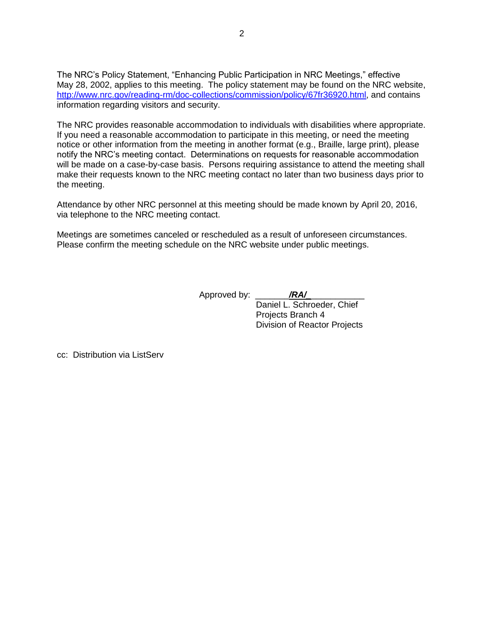The NRC's Policy Statement, "Enhancing Public Participation in NRC Meetings," effective May 28, 2002, applies to this meeting. The policy statement may be found on the NRC website, [http://www.nrc.gov/reading-rm/doc-collections/commission/policy/67fr36920.html,](http://www.nrc.gov/reading-rm/doc-collections/commission/policy/67fr36920.html) and contains information regarding visitors and security.

The NRC provides reasonable accommodation to individuals with disabilities where appropriate. If you need a reasonable accommodation to participate in this meeting, or need the meeting notice or other information from the meeting in another format (e.g., Braille, large print), please notify the NRC's meeting contact. Determinations on requests for reasonable accommodation will be made on a case-by-case basis. Persons requiring assistance to attend the meeting shall make their requests known to the NRC meeting contact no later than two business days prior to the meeting.

Attendance by other NRC personnel at this meeting should be made known by April 20, 2016, via telephone to the NRC meeting contact.

Meetings are sometimes canceled or rescheduled as a result of unforeseen circumstances. Please confirm the meeting schedule on the NRC website under public meetings.

Approved by: \_\_\_\_\_\_\_*/RA/\_*\_\_\_\_\_\_\_\_\_\_\_

Daniel L. Schroeder, Chief Projects Branch 4 Division of Reactor Projects

cc: Distribution via ListServ